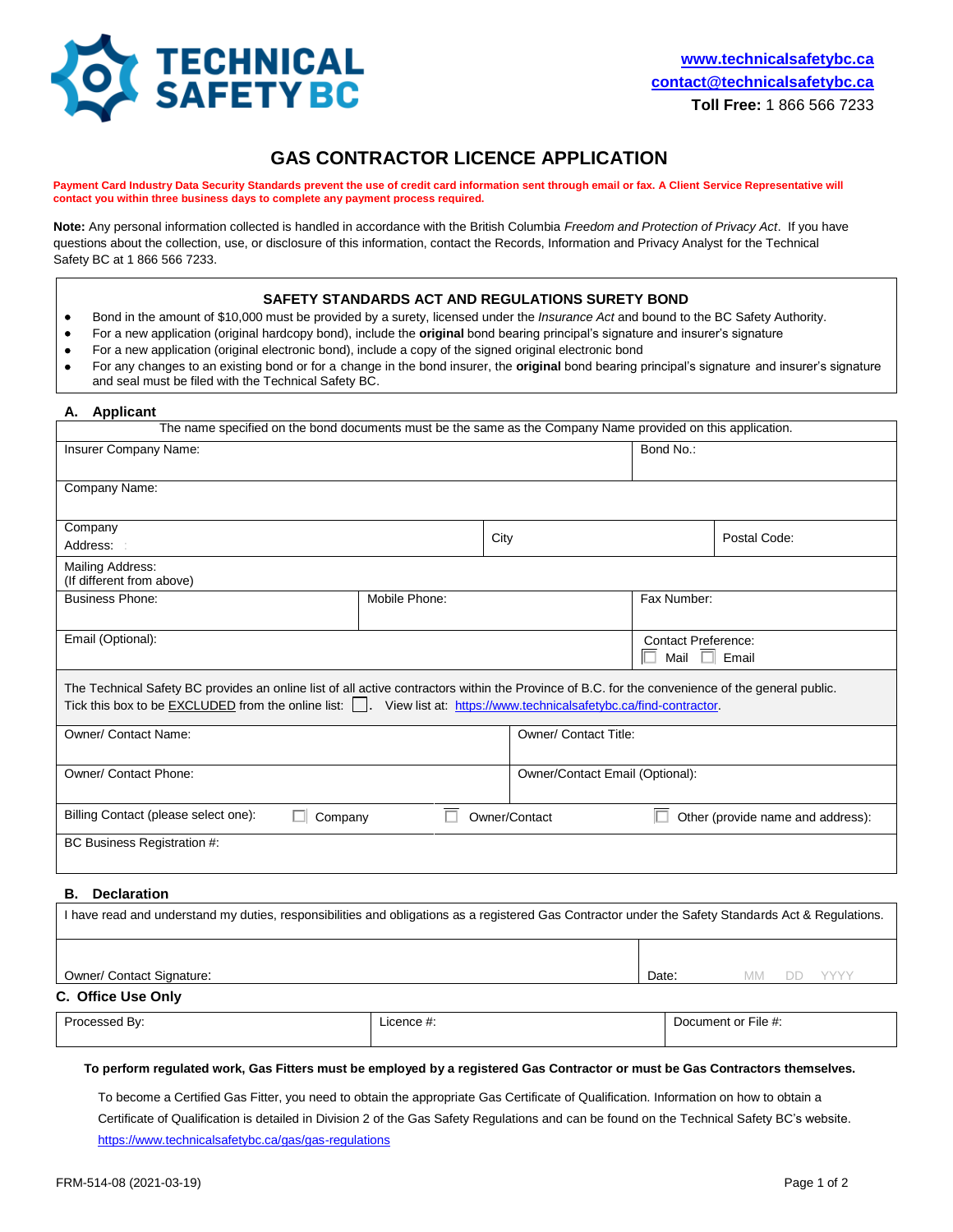

# **GAS CONTRACTOR LICENCE APPLICATION**

**Payment Card Industry Data Security Standards prevent the use of credit card information sent through email or fax. A Client Service Representative will contact you within three business days to complete any payment process required.** 

**Note:** Any personal information collected is handled in accordance with the British Columbia *Freedom and Protection of Privacy Act*. If you have questions about the collection, use, or disclosure of this information, contact the Records, Information and Privacy Analyst for the Technical Safety BC at 1 866 566 7233.

### **SAFETY STANDARDS ACT AND REGULATIONS SURETY BOND**

- Bond in the amount of \$10,000 must be provided by a surety, licensed under the *Insurance Act* and bound to the BC Safety Authority.
- For a new application (original hardcopy bond), include the **original** bond bearing principal's signature and insurer's signature
- For a new application (original electronic bond), include a copy of the signed original electronic bond
- For any changes to an existing bond or for a change in the bond insurer, the **original** bond bearing principal's signature and insurer's signature and seal must be filed with the Technical Safety BC.

### **A. Applicant**

| The name specified on the bond documents must be the same as the Company Name provided on this application.                                                                                                                                                                |               |               |                                                        |              |  |  |
|----------------------------------------------------------------------------------------------------------------------------------------------------------------------------------------------------------------------------------------------------------------------------|---------------|---------------|--------------------------------------------------------|--------------|--|--|
| Insurer Company Name:                                                                                                                                                                                                                                                      |               |               | Bond No.:                                              |              |  |  |
| Company Name:                                                                                                                                                                                                                                                              |               |               |                                                        |              |  |  |
| Company                                                                                                                                                                                                                                                                    |               |               |                                                        |              |  |  |
| Address: :                                                                                                                                                                                                                                                                 |               | City          |                                                        | Postal Code: |  |  |
| Mailing Address:<br>(If different from above)                                                                                                                                                                                                                              |               |               |                                                        |              |  |  |
| <b>Business Phone:</b>                                                                                                                                                                                                                                                     | Mobile Phone: |               | Fax Number:                                            |              |  |  |
| Email (Optional):                                                                                                                                                                                                                                                          |               |               | <b>Contact Preference:</b><br>П<br>Mail<br>П.<br>Email |              |  |  |
| The Technical Safety BC provides an online list of all active contractors within the Province of B.C. for the convenience of the general public.<br>Tick this box to be EXCLUDED from the online list:   . View list at: https://www.technicalsafetybc.ca/find-contractor. |               |               |                                                        |              |  |  |
| Owner/ Contact Name:                                                                                                                                                                                                                                                       |               |               | Owner/ Contact Title:                                  |              |  |  |
| Owner/ Contact Phone:                                                                                                                                                                                                                                                      |               |               | Owner/Contact Email (Optional):                        |              |  |  |
| Billing Contact (please select one):<br>Company                                                                                                                                                                                                                            |               | Owner/Contact | Other (provide name and address):                      |              |  |  |
| BC Business Registration #:                                                                                                                                                                                                                                                |               |               |                                                        |              |  |  |
| Beathwester                                                                                                                                                                                                                                                                |               |               |                                                        |              |  |  |

#### **B. Declaration**

|                                  | I have read and understand my duties, responsibilities and obligations as a registered Gas Contractor under the Safety Standards Act & Regulations. |       |                         |  |
|----------------------------------|-----------------------------------------------------------------------------------------------------------------------------------------------------|-------|-------------------------|--|
| <b>Owner/ Contact Signature:</b> |                                                                                                                                                     | Date: | YYYY<br><b>MM</b><br>DD |  |
| C. Office Use Only               |                                                                                                                                                     |       |                         |  |
| Processed By:                    | Licence #:                                                                                                                                          |       | Document or File #:     |  |

#### **To perform regulated work, Gas Fitters must be employed by a registered Gas Contractor or must be Gas Contractors themselves.**

To become a Certified Gas Fitter, you need to obtain the appropriate Gas Certificate of Qualification. Information on how to obtain a Certificate of Qualification is detailed in Division 2 of the Gas Safety Regulations and can be found on the Technical Safety BC's website. <https://www.technicalsafetybc.ca/gas/gas-regulations>